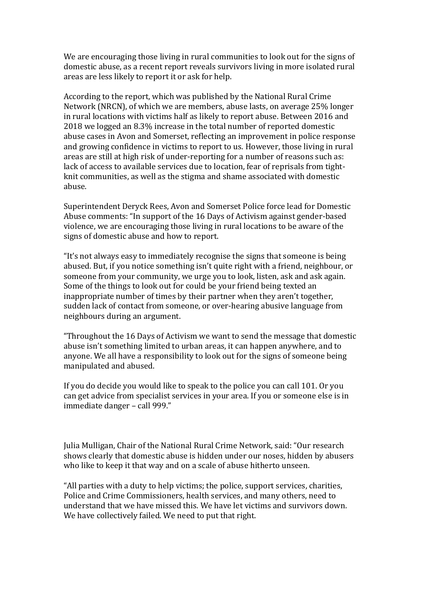We are encouraging those living in rural communities to look out for the signs of domestic abuse, as a recent report reveals survivors living in more isolated rural areas are less likely to report it or ask for help.

According to the report, which was published by the National Rural Crime Network (NRCN), of which we are members, abuse lasts, on average 25% longer in rural locations with victims half as likely to report abuse. Between 2016 and 2018 we logged an 8.3% increase in the total number of reported domestic abuse cases in Avon and Somerset, reflecting an improvement in police response and growing confidence in victims to report to us. However, those living in rural areas are still at high risk of under-reporting for a number of reasons such as: lack of access to available services due to location, fear of reprisals from tightknit communities, as well as the stigma and shame associated with domestic abuse.

Superintendent Deryck Rees, Avon and Somerset Police force lead for Domestic Abuse comments: "In support of the 16 Days of Activism against gender-based violence, we are encouraging those living in rural locations to be aware of the signs of domestic abuse and how to report.

"It's not always easy to immediately recognise the signs that someone is being abused. But, if you notice something isn't quite right with a friend, neighbour, or someone from your community, we urge you to look, listen, ask and ask again. Some of the things to look out for could be your friend being texted an inappropriate number of times by their partner when they aren't together, sudden lack of contact from someone, or over-hearing abusive language from neighbours during an argument.

"Throughout the 16 Days of Activism we want to send the message that domestic abuse isn't something limited to urban areas, it can happen anywhere, and to anyone. We all have a responsibility to look out for the signs of someone being manipulated and abused.

If you do decide you would like to speak to the police you can call 101. Or you can get advice from specialist services in your area. If you or someone else is in immediate danger – call 999."

Julia Mulligan, Chair of the National Rural Crime Network, said: "Our research shows clearly that domestic abuse is hidden under our noses, hidden by abusers who like to keep it that way and on a scale of abuse hitherto unseen.

"All parties with a duty to help victims; the police, support services, charities, Police and Crime Commissioners, health services, and many others, need to understand that we have missed this. We have let victims and survivors down. We have collectively failed. We need to put that right.